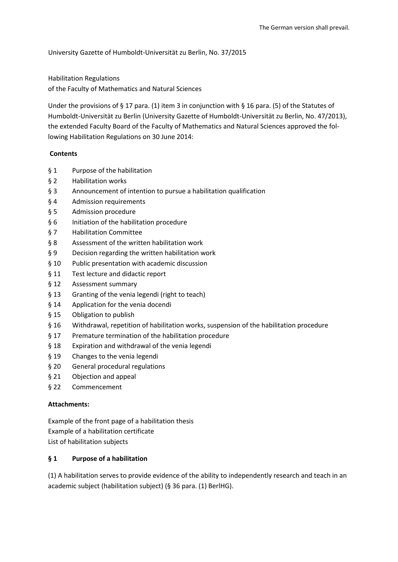University Gazette of Humboldt-Universität zu Berlin, No. 37/2015

Habilitation Regulations of the Faculty of Mathematics and Natural Sciences

Under the provisions of § 17 para. (1) item 3 in conjunction with § 16 para. (5) of the Statutes of Humboldt-Universität zu Berlin (University Gazette of Humboldt-Universität zu Berlin, No. 47/2013), the extended Faculty Board of the Faculty of Mathematics and Natural Sciences approved the following Habilitation Regulations on 30 June 2014:

#### **Contents**

- § 1 Purpose of the habilitation
- § 2 Habilitation works
- § 3 Announcement of intention to pursue a habilitation qualification
- § 4 Admission requirements
- § 5 Admission procedure
- § 6 Initiation of the habilitation procedure
- § 7 Habilitation Committee
- § 8 Assessment of the written habilitation work
- § 9 Decision regarding the written habilitation work
- § 10 Public presentation with academic discussion
- § 11 Test lecture and didactic report
- § 12 Assessment summary
- § 13 Granting of the venia legendi (right to teach)
- § 14 Application for the venia docendi
- § 15 Obligation to publish
- § 16 Withdrawal, repetition of habilitation works, suspension of the habilitation procedure
- § 17 Premature termination of the habilitation procedure
- § 18 Expiration and withdrawal of the venia legendi
- § 19 Changes to the venia legendi
- § 20 General procedural regulations
- § 21 Objection and appeal
- § 22 Commencement

#### **Attachments:**

Example of the front page of a habilitation thesis Example of a habilitation certificate List of habilitation subjects

#### **§ 1 Purpose of a habilitation**

(1) A habilitation serves to provide evidence of the ability to independently research and teach in an academic subject (habilitation subject) (§ 36 para. (1) BerlHG).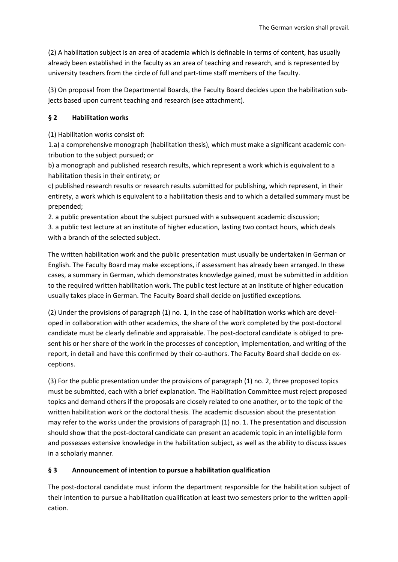(2) A habilitation subject is an area of academia which is definable in terms of content, has usually already been established in the faculty as an area of teaching and research, and is represented by university teachers from the circle of full and part-time staff members of the faculty.

(3) On proposal from the Departmental Boards, the Faculty Board decides upon the habilitation subjects based upon current teaching and research (see attachment).

## **§ 2 Habilitation works**

(1) Habilitation works consist of:

1.a) a comprehensive monograph (habilitation thesis), which must make a significant academic contribution to the subject pursued; or

b) a monograph and published research results, which represent a work which is equivalent to a habilitation thesis in their entirety; or

c) published research results or research results submitted for publishing, which represent, in their entirety, a work which is equivalent to a habilitation thesis and to which a detailed summary must be prepended;

2. a public presentation about the subject pursued with a subsequent academic discussion;

3. a public test lecture at an institute of higher education, lasting two contact hours, which deals with a branch of the selected subject.

The written habilitation work and the public presentation must usually be undertaken in German or English. The Faculty Board may make exceptions, if assessment has already been arranged. In these cases, a summary in German, which demonstrates knowledge gained, must be submitted in addition to the required written habilitation work. The public test lecture at an institute of higher education usually takes place in German. The Faculty Board shall decide on justified exceptions.

(2) Under the provisions of paragraph (1) no. 1, in the case of habilitation works which are developed in collaboration with other academics, the share of the work completed by the post-doctoral candidate must be clearly definable and appraisable. The post-doctoral candidate is obliged to present his or her share of the work in the processes of conception, implementation, and writing of the report, in detail and have this confirmed by their co-authors. The Faculty Board shall decide on exceptions.

(3) For the public presentation under the provisions of paragraph (1) no. 2, three proposed topics must be submitted, each with a brief explanation. The Habilitation Committee must reject proposed topics and demand others if the proposals are closely related to one another, or to the topic of the written habilitation work or the doctoral thesis. The academic discussion about the presentation may refer to the works under the provisions of paragraph (1) no. 1. The presentation and discussion should show that the post-doctoral candidate can present an academic topic in an intelligible form and possesses extensive knowledge in the habilitation subject, as well as the ability to discuss issues in a scholarly manner.

# **§ 3 Announcement of intention to pursue a habilitation qualification**

The post-doctoral candidate must inform the department responsible for the habilitation subject of their intention to pursue a habilitation qualification at least two semesters prior to the written application.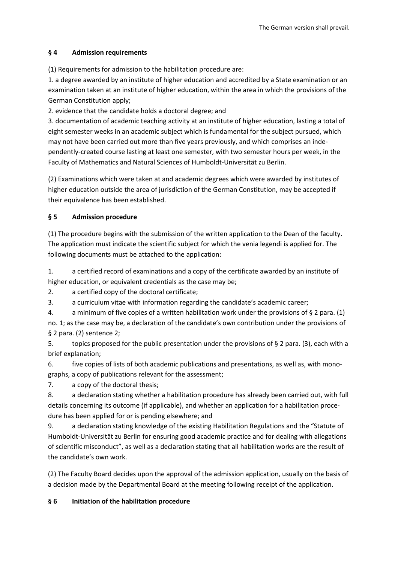## **§ 4 Admission requirements**

(1) Requirements for admission to the habilitation procedure are:

1. a degree awarded by an institute of higher education and accredited by a State examination or an examination taken at an institute of higher education, within the area in which the provisions of the German Constitution apply;

2. evidence that the candidate holds a doctoral degree; and

3. documentation of academic teaching activity at an institute of higher education, lasting a total of eight semester weeks in an academic subject which is fundamental for the subject pursued, which may not have been carried out more than five years previously, and which comprises an independently-created course lasting at least one semester, with two semester hours per week, in the Faculty of Mathematics and Natural Sciences of Humboldt-Universität zu Berlin.

(2) Examinations which were taken at and academic degrees which were awarded by institutes of higher education outside the area of jurisdiction of the German Constitution, may be accepted if their equivalence has been established.

# **§ 5 Admission procedure**

(1) The procedure begins with the submission of the written application to the Dean of the faculty. The application must indicate the scientific subject for which the venia legendi is applied for. The following documents must be attached to the application:

1. a certified record of examinations and a copy of the certificate awarded by an institute of higher education, or equivalent credentials as the case may be;

2. a certified copy of the doctoral certificate;

3. a curriculum vitae with information regarding the candidate's academic career;

4. a minimum of five copies of a written habilitation work under the provisions of § 2 para. (1) no. 1; as the case may be, a declaration of the candidate's own contribution under the provisions of § 2 para. (2) sentence 2;

5. topics proposed for the public presentation under the provisions of § 2 para. (3), each with a brief explanation;

6. five copies of lists of both academic publications and presentations, as well as, with monographs, a copy of publications relevant for the assessment;

7. a copy of the doctoral thesis;

8. a declaration stating whether a habilitation procedure has already been carried out, with full details concerning its outcome (if applicable), and whether an application for a habilitation procedure has been applied for or is pending elsewhere; and

9. a declaration stating knowledge of the existing Habilitation Regulations and the "Statute of Humboldt-Universität zu Berlin for ensuring good academic practice and for dealing with allegations of scientific misconduct", as well as a declaration stating that all habilitation works are the result of the candidate's own work.

(2) The Faculty Board decides upon the approval of the admission application, usually on the basis of a decision made by the Departmental Board at the meeting following receipt of the application.

# **§ 6 Initiation of the habilitation procedure**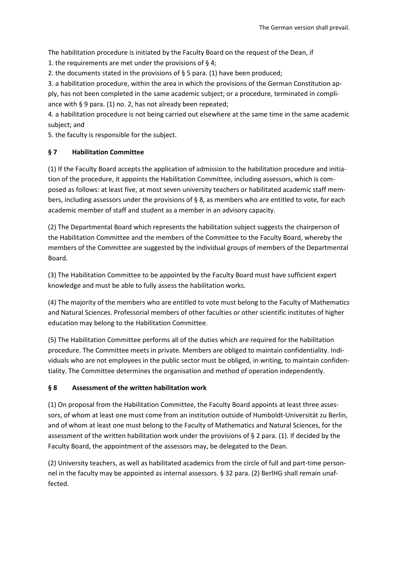The habilitation procedure is initiated by the Faculty Board on the request of the Dean, if

1. the requirements are met under the provisions of § 4;

2. the documents stated in the provisions of § 5 para. (1) have been produced;

3. a habilitation procedure, within the area in which the provisions of the German Constitution apply, has not been completed in the same academic subject; or a procedure, terminated in compliance with § 9 para. (1) no. 2, has not already been repeated;

4. a habilitation procedure is not being carried out elsewhere at the same time in the same academic subject; and

5. the faculty is responsible for the subject.

## **§ 7 Habilitation Committee**

(1) If the Faculty Board accepts the application of admission to the habilitation procedure and initiation of the procedure, it appoints the Habilitation Committee, including assessors, which is composed as follows: at least five, at most seven university teachers or habilitated academic staff members, including assessors under the provisions of § 8, as members who are entitled to vote, for each academic member of staff and student as a member in an advisory capacity.

(2) The Departmental Board which represents the habilitation subject suggests the chairperson of the Habilitation Committee and the members of the Committee to the Faculty Board, whereby the members of the Committee are suggested by the individual groups of members of the Departmental Board.

(3) The Habilitation Committee to be appointed by the Faculty Board must have sufficient expert knowledge and must be able to fully assess the habilitation works.

(4) The majority of the members who are entitled to vote must belong to the Faculty of Mathematics and Natural Sciences. Professorial members of other faculties or other scientific institutes of higher education may belong to the Habilitation Committee.

(5) The Habilitation Committee performs all of the duties which are required for the habilitation procedure. The Committee meets in private. Members are obliged to maintain confidentiality. Individuals who are not employees in the public sector must be obliged, in writing, to maintain confidentiality. The Committee determines the organisation and method of operation independently.

#### **§ 8 Assessment of the written habilitation work**

(1) On proposal from the Habilitation Committee, the Faculty Board appoints at least three assessors, of whom at least one must come from an institution outside of Humboldt-Universität zu Berlin, and of whom at least one must belong to the Faculty of Mathematics and Natural Sciences, for the assessment of the written habilitation work under the provisions of § 2 para. (1). If decided by the Faculty Board, the appointment of the assessors may, be delegated to the Dean.

(2) University teachers, as well as habilitated academics from the circle of full and part-time personnel in the faculty may be appointed as internal assessors. § 32 para. (2) BerlHG shall remain unaffected.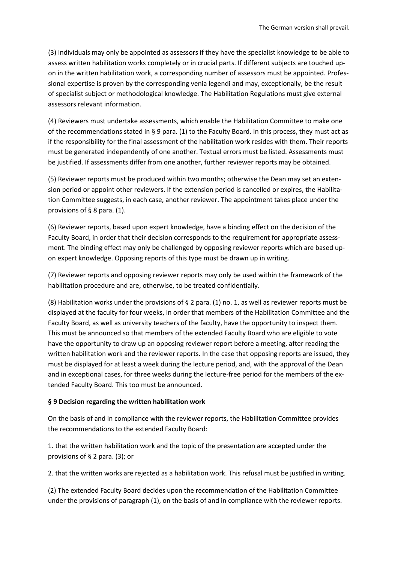(3) Individuals may only be appointed as assessors if they have the specialist knowledge to be able to assess written habilitation works completely or in crucial parts. If different subjects are touched upon in the written habilitation work, a corresponding number of assessors must be appointed. Professional expertise is proven by the corresponding venia legendi and may, exceptionally, be the result of specialist subject or methodological knowledge. The Habilitation Regulations must give external assessors relevant information.

(4) Reviewers must undertake assessments, which enable the Habilitation Committee to make one of the recommendations stated in § 9 para. (1) to the Faculty Board. In this process, they must act as if the responsibility for the final assessment of the habilitation work resides with them. Their reports must be generated independently of one another. Textual errors must be listed. Assessments must be justified. If assessments differ from one another, further reviewer reports may be obtained.

(5) Reviewer reports must be produced within two months; otherwise the Dean may set an extension period or appoint other reviewers. If the extension period is cancelled or expires, the Habilitation Committee suggests, in each case, another reviewer. The appointment takes place under the provisions of § 8 para. (1).

(6) Reviewer reports, based upon expert knowledge, have a binding effect on the decision of the Faculty Board, in order that their decision corresponds to the requirement for appropriate assessment. The binding effect may only be challenged by opposing reviewer reports which are based upon expert knowledge. Opposing reports of this type must be drawn up in writing.

(7) Reviewer reports and opposing reviewer reports may only be used within the framework of the habilitation procedure and are, otherwise, to be treated confidentially.

(8) Habilitation works under the provisions of § 2 para. (1) no. 1, as well as reviewer reports must be displayed at the faculty for four weeks, in order that members of the Habilitation Committee and the Faculty Board, as well as university teachers of the faculty, have the opportunity to inspect them. This must be announced so that members of the extended Faculty Board who are eligible to vote have the opportunity to draw up an opposing reviewer report before a meeting, after reading the written habilitation work and the reviewer reports. In the case that opposing reports are issued, they must be displayed for at least a week during the lecture period, and, with the approval of the Dean and in exceptional cases, for three weeks during the lecture-free period for the members of the extended Faculty Board. This too must be announced.

#### **§ 9 Decision regarding the written habilitation work**

On the basis of and in compliance with the reviewer reports, the Habilitation Committee provides the recommendations to the extended Faculty Board:

1. that the written habilitation work and the topic of the presentation are accepted under the provisions of § 2 para. (3); or

2. that the written works are rejected as a habilitation work. This refusal must be justified in writing.

(2) The extended Faculty Board decides upon the recommendation of the Habilitation Committee under the provisions of paragraph (1), on the basis of and in compliance with the reviewer reports.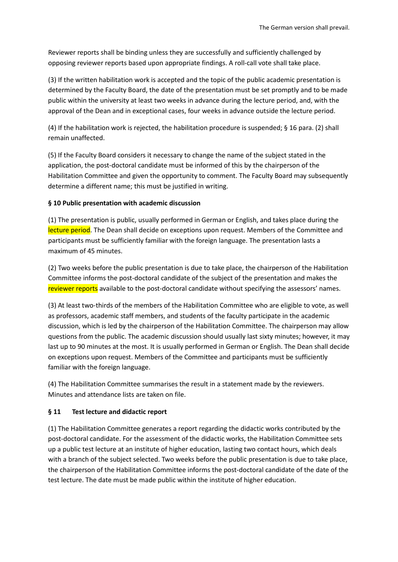Reviewer reports shall be binding unless they are successfully and sufficiently challenged by opposing reviewer reports based upon appropriate findings. A roll-call vote shall take place.

(3) If the written habilitation work is accepted and the topic of the public academic presentation is determined by the Faculty Board, the date of the presentation must be set promptly and to be made public within the university at least two weeks in advance during the lecture period, and, with the approval of the Dean and in exceptional cases, four weeks in advance outside the lecture period.

(4) If the habilitation work is rejected, the habilitation procedure is suspended; § 16 para. (2) shall remain unaffected.

(5) If the Faculty Board considers it necessary to change the name of the subject stated in the application, the post-doctoral candidate must be informed of this by the chairperson of the Habilitation Committee and given the opportunity to comment. The Faculty Board may subsequently determine a different name; this must be justified in writing.

## **§ 10 Public presentation with academic discussion**

(1) The presentation is public, usually performed in German or English, and takes place during the lecture period. The Dean shall decide on exceptions upon request. Members of the Committee and participants must be sufficiently familiar with the foreign language. The presentation lasts a maximum of 45 minutes.

(2) Two weeks before the public presentation is due to take place, the chairperson of the Habilitation Committee informs the post-doctoral candidate of the subject of the presentation and makes the reviewer reports available to the post-doctoral candidate without specifying the assessors' names.

(3) At least two-thirds of the members of the Habilitation Committee who are eligible to vote, as well as professors, academic staff members, and students of the faculty participate in the academic discussion, which is led by the chairperson of the Habilitation Committee. The chairperson may allow questions from the public. The academic discussion should usually last sixty minutes; however, it may last up to 90 minutes at the most. It is usually performed in German or English. The Dean shall decide on exceptions upon request. Members of the Committee and participants must be sufficiently familiar with the foreign language.

(4) The Habilitation Committee summarises the result in a statement made by the reviewers. Minutes and attendance lists are taken on file.

## **§ 11 Test lecture and didactic report**

(1) The Habilitation Committee generates a report regarding the didactic works contributed by the post-doctoral candidate. For the assessment of the didactic works, the Habilitation Committee sets up a public test lecture at an institute of higher education, lasting two contact hours, which deals with a branch of the subject selected. Two weeks before the public presentation is due to take place, the chairperson of the Habilitation Committee informs the post-doctoral candidate of the date of the test lecture. The date must be made public within the institute of higher education.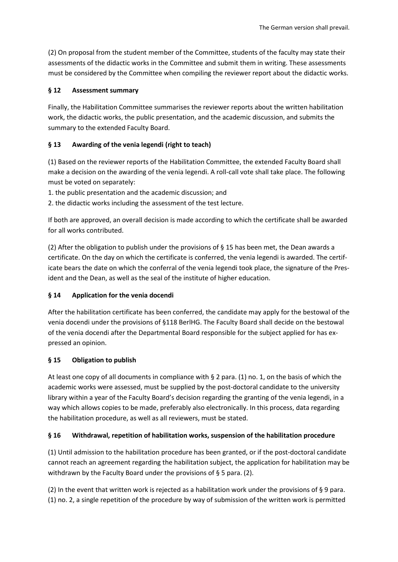(2) On proposal from the student member of the Committee, students of the faculty may state their assessments of the didactic works in the Committee and submit them in writing. These assessments must be considered by the Committee when compiling the reviewer report about the didactic works.

## **§ 12 Assessment summary**

Finally, the Habilitation Committee summarises the reviewer reports about the written habilitation work, the didactic works, the public presentation, and the academic discussion, and submits the summary to the extended Faculty Board.

# **§ 13 Awarding of the venia legendi (right to teach)**

(1) Based on the reviewer reports of the Habilitation Committee, the extended Faculty Board shall make a decision on the awarding of the venia legendi. A roll-call vote shall take place. The following must be voted on separately:

1. the public presentation and the academic discussion; and

2. the didactic works including the assessment of the test lecture.

If both are approved, an overall decision is made according to which the certificate shall be awarded for all works contributed.

(2) After the obligation to publish under the provisions of § 15 has been met, the Dean awards a certificate. On the day on which the certificate is conferred, the venia legendi is awarded. The certificate bears the date on which the conferral of the venia legendi took place, the signature of the President and the Dean, as well as the seal of the institute of higher education.

# **§ 14 Application for the venia docendi**

After the habilitation certificate has been conferred, the candidate may apply for the bestowal of the venia docendi under the provisions of §118 BerlHG. The Faculty Board shall decide on the bestowal of the venia docendi after the Departmental Board responsible for the subject applied for has expressed an opinion.

## **§ 15 Obligation to publish**

At least one copy of all documents in compliance with  $\S 2$  para. (1) no. 1, on the basis of which the academic works were assessed, must be supplied by the post-doctoral candidate to the university library within a year of the Faculty Board's decision regarding the granting of the venia legendi, in a way which allows copies to be made, preferably also electronically. In this process, data regarding the habilitation procedure, as well as all reviewers, must be stated.

# **§ 16 Withdrawal, repetition of habilitation works, suspension of the habilitation procedure**

(1) Until admission to the habilitation procedure has been granted, or if the post-doctoral candidate cannot reach an agreement regarding the habilitation subject, the application for habilitation may be withdrawn by the Faculty Board under the provisions of § 5 para. (2).

(2) In the event that written work is rejected as a habilitation work under the provisions of § 9 para. (1) no. 2, a single repetition of the procedure by way of submission of the written work is permitted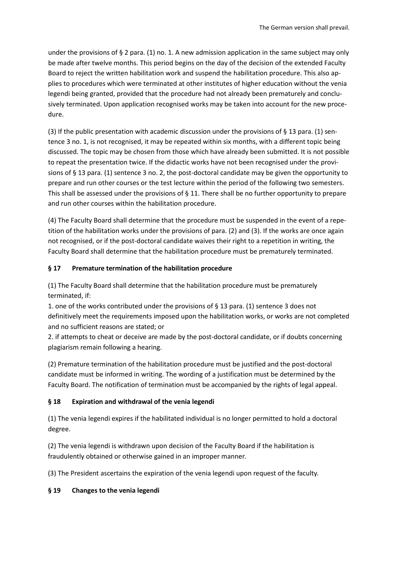under the provisions of  $\S 2$  para. (1) no. 1. A new admission application in the same subject may only be made after twelve months. This period begins on the day of the decision of the extended Faculty Board to reject the written habilitation work and suspend the habilitation procedure. This also applies to procedures which were terminated at other institutes of higher education without the venia legendi being granted, provided that the procedure had not already been prematurely and conclusively terminated. Upon application recognised works may be taken into account for the new procedure.

(3) If the public presentation with academic discussion under the provisions of  $\S$  13 para. (1) sentence 3 no. 1, is not recognised, it may be repeated within six months, with a different topic being discussed. The topic may be chosen from those which have already been submitted. It is not possible to repeat the presentation twice. If the didactic works have not been recognised under the provisions of § 13 para. (1) sentence 3 no. 2, the post-doctoral candidate may be given the opportunity to prepare and run other courses or the test lecture within the period of the following two semesters. This shall be assessed under the provisions of § 11. There shall be no further opportunity to prepare and run other courses within the habilitation procedure.

(4) The Faculty Board shall determine that the procedure must be suspended in the event of a repetition of the habilitation works under the provisions of para. (2) and (3). If the works are once again not recognised, or if the post-doctoral candidate waives their right to a repetition in writing, the Faculty Board shall determine that the habilitation procedure must be prematurely terminated.

## **§ 17 Premature termination of the habilitation procedure**

(1) The Faculty Board shall determine that the habilitation procedure must be prematurely terminated, if:

1. one of the works contributed under the provisions of § 13 para. (1) sentence 3 does not definitively meet the requirements imposed upon the habilitation works, or works are not completed and no sufficient reasons are stated; or

2. if attempts to cheat or deceive are made by the post-doctoral candidate, or if doubts concerning plagiarism remain following a hearing.

(2) Premature termination of the habilitation procedure must be justified and the post-doctoral candidate must be informed in writing. The wording of a justification must be determined by the Faculty Board. The notification of termination must be accompanied by the rights of legal appeal.

## **§ 18 Expiration and withdrawal of the venia legendi**

(1) The venia legendi expires if the habilitated individual is no longer permitted to hold a doctoral degree.

(2) The venia legendi is withdrawn upon decision of the Faculty Board if the habilitation is fraudulently obtained or otherwise gained in an improper manner.

(3) The President ascertains the expiration of the venia legendi upon request of the faculty.

## **§ 19 Changes to the venia legendi**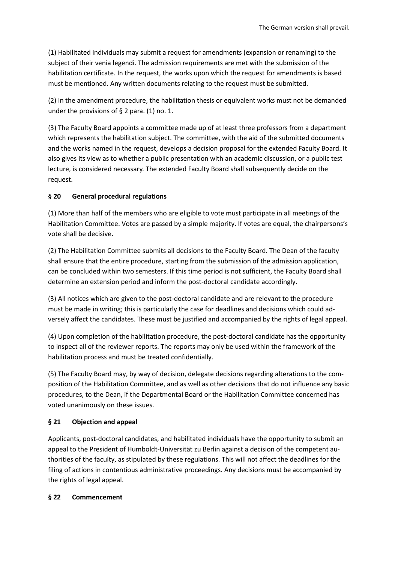(1) Habilitated individuals may submit a request for amendments (expansion or renaming) to the subject of their venia legendi. The admission requirements are met with the submission of the habilitation certificate. In the request, the works upon which the request for amendments is based must be mentioned. Any written documents relating to the request must be submitted.

(2) In the amendment procedure, the habilitation thesis or equivalent works must not be demanded under the provisions of  $\S$  2 para. (1) no. 1.

(3) The Faculty Board appoints a committee made up of at least three professors from a department which represents the habilitation subject. The committee, with the aid of the submitted documents and the works named in the request, develops a decision proposal for the extended Faculty Board. It also gives its view as to whether a public presentation with an academic discussion, or a public test lecture, is considered necessary. The extended Faculty Board shall subsequently decide on the request.

# **§ 20 General procedural regulations**

(1) More than half of the members who are eligible to vote must participate in all meetings of the Habilitation Committee. Votes are passed by a simple majority. If votes are equal, the chairpersons's vote shall be decisive.

(2) The Habilitation Committee submits all decisions to the Faculty Board. The Dean of the faculty shall ensure that the entire procedure, starting from the submission of the admission application, can be concluded within two semesters. If this time period is not sufficient, the Faculty Board shall determine an extension period and inform the post-doctoral candidate accordingly.

(3) All notices which are given to the post-doctoral candidate and are relevant to the procedure must be made in writing; this is particularly the case for deadlines and decisions which could adversely affect the candidates. These must be justified and accompanied by the rights of legal appeal.

(4) Upon completion of the habilitation procedure, the post-doctoral candidate has the opportunity to inspect all of the reviewer reports. The reports may only be used within the framework of the habilitation process and must be treated confidentially.

(5) The Faculty Board may, by way of decision, delegate decisions regarding alterations to the composition of the Habilitation Committee, and as well as other decisions that do not influence any basic procedures, to the Dean, if the Departmental Board or the Habilitation Committee concerned has voted unanimously on these issues.

## **§ 21 Objection and appeal**

Applicants, post-doctoral candidates, and habilitated individuals have the opportunity to submit an appeal to the President of Humboldt-Universität zu Berlin against a decision of the competent authorities of the faculty, as stipulated by these regulations. This will not affect the deadlines for the filing of actions in contentious administrative proceedings. Any decisions must be accompanied by the rights of legal appeal.

## **§ 22 Commencement**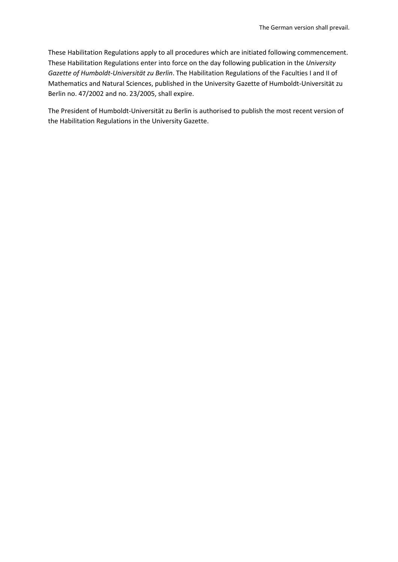These Habilitation Regulations apply to all procedures which are initiated following commencement. These Habilitation Regulations enter into force on the day following publication in the *University Gazette of Humboldt-Universität zu Berlin*. The Habilitation Regulations of the Faculties I and II of Mathematics and Natural Sciences, published in the University Gazette of Humboldt-Universität zu Berlin no. 47/2002 and no. 23/2005, shall expire.

The President of Humboldt-Universität zu Berlin is authorised to publish the most recent version of the Habilitation Regulations in the University Gazette.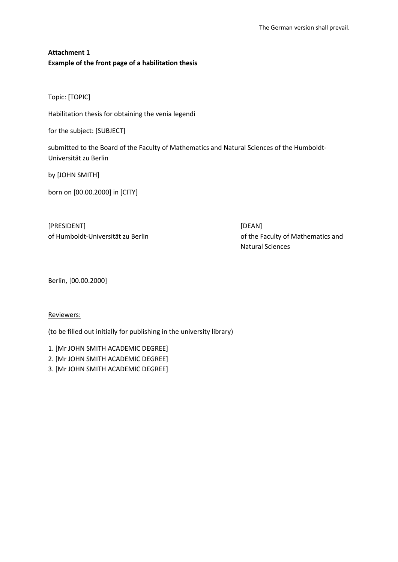# **Attachment 1 Example of the front page of a habilitation thesis**

Topic: [TOPIC]

Habilitation thesis for obtaining the venia legendi

for the subject: [SUBJECT]

submitted to the Board of the Faculty of Mathematics and Natural Sciences of the Humboldt-Universität zu Berlin

by [JOHN SMITH]

born on [00.00.2000] in [CITY]

[PRESIDENT] [DEAN]

of Humboldt-Universität zu Berlin and the Faculty of Mathematics and Natural Sciences

Berlin, [00.00.2000]

Reviewers:

(to be filled out initially for publishing in the university library)

1. [Mr JOHN SMITH ACADEMIC DEGREE]

2. [Mr JOHN SMITH ACADEMIC DEGREE]

3. [Mr JOHN SMITH ACADEMIC DEGREE]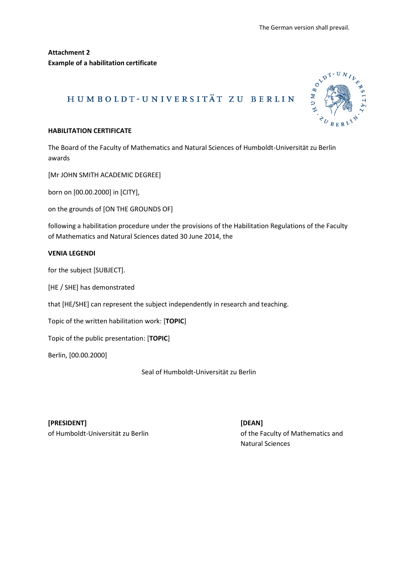**Attachment 2 Example of a habilitation certificate**

# HUMBOLDT-UNIVERSITÄT ZU BERLIN



## **HABILITATION CERTIFICATE**

The Board of the Faculty of Mathematics and Natural Sciences of Humboldt-Universität zu Berlin awards

[Mr JOHN SMITH ACADEMIC DEGREE]

born on [00.00.2000] in [CITY],

on the grounds of [ON THE GROUNDS OF]

following a habilitation procedure under the provisions of the Habilitation Regulations of the Faculty of Mathematics and Natural Sciences dated 30 June 2014, the

## **VENIA LEGENDI**

for the subject [SUBJECT].

[HE / SHE] has demonstrated

that [HE/SHE] can represent the subject independently in research and teaching.

Topic of the written habilitation work: [**TOPIC**]

Topic of the public presentation: [**TOPIC**]

Berlin, [00.00.2000]

Seal of Humboldt-Universität zu Berlin

**[PRESIDENT] [DEAN]**

of Humboldt-Universität zu Berlin and the Faculty of Mathematics and Natural Sciences